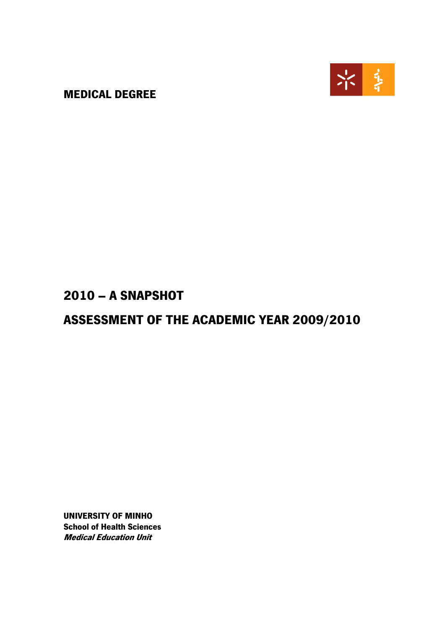MEDICAL DEGREE



### 2010 – A SNAPSHOT

## ASSESSMENT OF THE ACADEMIC YEAR 2009/2010

UNIVERSITY OF MINHO School of Health Sciences Medical Education Unit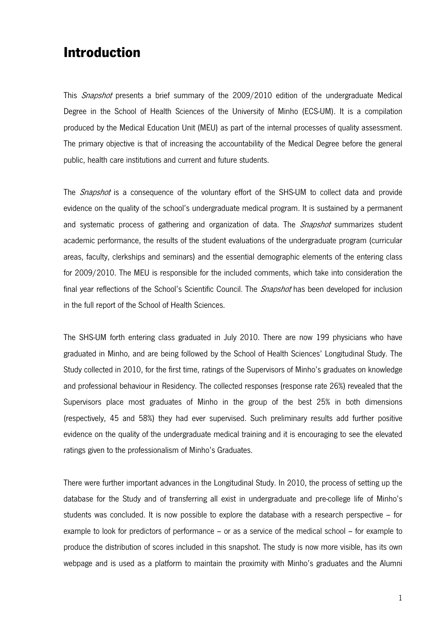### Introduction

This *Snapshot* presents a brief summary of the 2009/2010 edition of the undergraduate Medical Degree in the School of Health Sciences of the University of Minho (ECS-UM). It is a compilation produced by the Medical Education Unit (MEU) as part of the internal processes of quality assessment. The primary objective is that of increasing the accountability of the Medical Degree before the general public, health care institutions and current and future students.

The *Snapshot* is a consequence of the voluntary effort of the SHS-UM to collect data and provide evidence on the quality of the school's undergraduate medical program. It is sustained by a permanent and systematic process of gathering and organization of data. The *Snapshot* summarizes student academic performance, the results of the student evaluations of the undergraduate program (curricular areas, faculty, clerkships and seminars) and the essential demographic elements of the entering class for 2009/2010. The MEU is responsible for the included comments, which take into consideration the final year reflections of the School's Scientific Council. The *Snapshot* has been developed for inclusion in the full report of the School of Health Sciences.

The SHS-UM forth entering class graduated in July 2010. There are now 199 physicians who have graduated in Minho, and are being followed by the School of Health Sciences' Longitudinal Study. The Study collected in 2010, for the first time, ratings of the Supervisors of Minho's graduates on knowledge and professional behaviour in Residency. The collected responses (response rate 26%) revealed that the Supervisors place most graduates of Minho in the group of the best 25% in both dimensions (respectively, 45 and 58%) they had ever supervised. Such preliminary results add further positive evidence on the quality of the undergraduate medical training and it is encouraging to see the elevated ratings given to the professionalism of Minho's Graduates.

There were further important advances in the Longitudinal Study. In 2010, the process of setting up the database for the Study and of transferring all exist in undergraduate and pre-college life of Minho's students was concluded. It is now possible to explore the database with a research perspective – for example to look for predictors of performance – or as a service of the medical school – for example to produce the distribution of scores included in this snapshot. The study is now more visible, has its own webpage and is used as a platform to maintain the proximity with Minho's graduates and the Alumni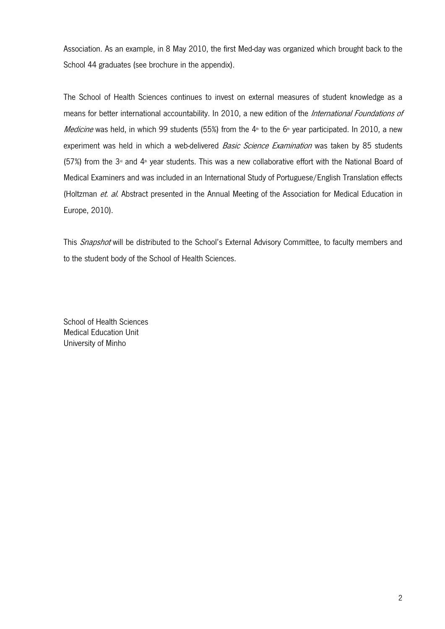Association. As an example, in 8 May 2010, the first Med-day was organized which brought back to the School 44 graduates (see brochure in the appendix).

The School of Health Sciences continues to invest on external measures of student knowledge as a means for better international accountability. In 2010, a new edition of the International Foundations of Medicine was held, in which 99 students (55%) from the  $4*$  to the 6<sup>th</sup> year participated. In 2010, a new experiment was held in which a web-delivered Basic Science Examination was taken by 85 students (57%) from the 3<sup> $d$ </sup> and 4<sup>th</sup> year students. This was a new collaborative effort with the National Board of Medical Examiners and was included in an International Study of Portuguese/English Translation effects (Holtzman et. al. Abstract presented in the Annual Meeting of the Association for Medical Education in Europe, 2010).

This Snapshot will be distributed to the School's External Advisory Committee, to faculty members and to the student body of the School of Health Sciences.

School of Health Sciences Medical Education Unit University of Minho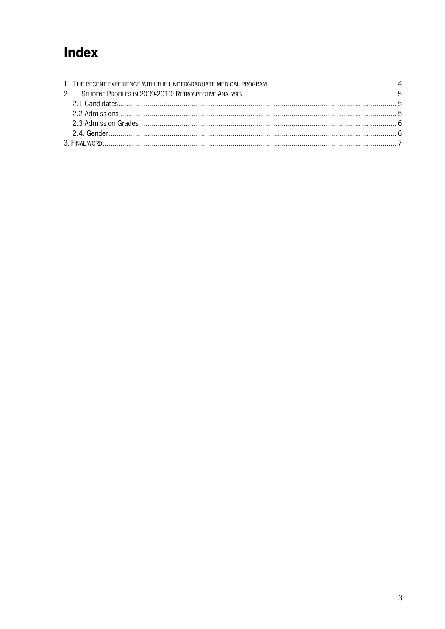# Index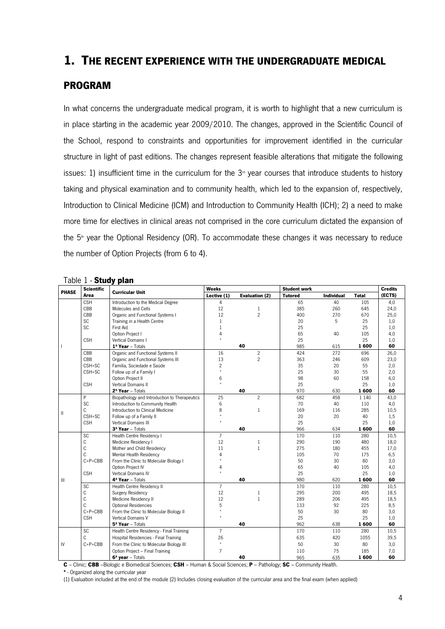### 1. THE RECENT EXPERIENCE WITH THE UNDERGRADUATE MEDICAL

#### PROGRAM

In what concerns the undergraduate medical program, it is worth to highlight that a new curriculum is in place starting in the academic year 2009/2010. The changes, approved in the Scientific Council of the School, respond to constraints and opportunities for improvement identified in the curricular structure in light of past editions. The changes represent feasible alterations that mitigate the following issues: 1) insufficient time in the curriculum for the  $3<sup>d</sup>$  year courses that introduce students to history taking and physical examination and to community health, which led to the expansion of, respectively, Introduction to Clinical Medicine (ICM) and Introduction to Community Health (ICH); 2) a need to make more time for electives in clinical areas not comprised in the core curriculum dictated the expansion of the  $5<sup>th</sup>$  year the Optional Residency (OR). To accommodate these changes it was necessary to reduce the number of Option Projects (from 6 to 4).

| <b>PHASE</b> | <b>Scientífic</b><br>Area    | <b>Curricular Unit</b>                        | <b>Weeks</b>         |                       | <b>Student work</b> |                   |              | <b>Credits</b> |
|--------------|------------------------------|-----------------------------------------------|----------------------|-----------------------|---------------------|-------------------|--------------|----------------|
|              |                              |                                               | Lective (1)          | <b>Evaluation (2)</b> | <b>Tutored</b>      | <b>Individual</b> | <b>Total</b> | (ECTS)         |
|              | <b>CSH</b>                   | Introduction to the Medical Degree            | 4                    |                       | 65                  | 40                | 105          | 4,0            |
|              | CBB                          | <b>Molecules and Cells</b>                    | 12                   | $\mathbf{1}$          | 385                 | 260               | 645          | 24,0           |
|              | CBB                          | Organic and Functional Systems I              | 12                   | $\overline{c}$        | 400                 | 270               | 670          | 25,0           |
|              | <b>SC</b>                    | Training in a Health Centre                   | $\mathbf{1}$         |                       | 20                  | 5                 | 25           | 1,0            |
|              | <b>SC</b>                    | <b>First Aid</b>                              | $\mathbf{1}$         |                       | 25                  |                   | 25           | 1,0            |
|              |                              | Option Project I                              | 4                    |                       | 65                  | 40                | 105          | 4,0            |
|              | <b>CSH</b>                   | Vertical Domains I                            |                      |                       | 25                  |                   | 25           | 1,0            |
|              | 1 <sup>º</sup> Year - Totals |                                               |                      | 40                    |                     | 615               | 1600         | 60             |
|              | CBB                          | Organic and Functional Systems II             | 16                   | $\overline{c}$        | 424                 | 272               | 696          | 26,0           |
|              | CBB                          | Organic and Functional Systems III            | 13                   | $\overline{c}$        | 363                 | 246               | 609          | 23,0           |
|              | CSH+SC                       | Família, Sociedade e Saúde                    | $\overline{c}$       |                       | 35                  | 20                | 55           | 2,0            |
|              | CSH+SC                       | Follow up of a Family I                       |                      |                       | 25                  | 30                | 55           | 2,0            |
|              |                              | Option Project II                             | 6                    |                       | 98                  | 60                | 158          | 6,0            |
|              | <b>CSH</b>                   | Vertical Domains II                           | $\ddot{\phantom{1}}$ |                       | 25                  |                   | 25           | 1,0            |
|              |                              | 2 <sup>e</sup> Year - Totals                  |                      | 40                    | 970                 | 630               | 1600         | 60             |
|              | P                            | Biopathology and Introduction to Therapeutics | 25                   | $\overline{c}$        | 682                 | 458               | 1 1 4 0      | 43,0           |
|              | SC                           | Introduction to Community Health              | 6                    |                       | 70                  | 40                | 110          | 4,0            |
|              | C                            | Introduction to Clinical Medicine             | 8                    | $\mathbf{1}$          | 169                 | 116               | 285          | 10,5           |
| Ш            | CSH+SC                       | Follow up of a Family II                      |                      |                       | 20                  | 20                | 40           | 1,5            |
|              | <b>CSH</b>                   | <b>Vertical Domains III</b>                   |                      |                       | 25                  |                   | 25           | 1,0            |
|              |                              | 3 <sup>º</sup> Year - Totals                  |                      | 40                    | 966                 | 634               | 1600         | 60             |
|              | SC                           | Health Centre Residency I                     | $\overline{7}$       |                       | 170                 | 110               | 280          | 10,5           |
|              | С                            | Medicine Residency I                          | 12                   | $\mathbf{1}$          | 290                 | 190               | 480          | 18,0           |
|              | C                            | Mother and Child Residency                    | 11                   | $\mathbf{1}$          | 275                 | 180               | 455          | 17,0           |
|              | C                            | <b>Mental Health Residency</b>                | 4                    |                       | 105                 | 70                | 175          | 6,5            |
|              | $C+P+CBB$                    | From the Clinic to Molecular Biology I        |                      |                       | 50                  | 30                | 80           | 3,0            |
|              |                              | Option Project IV                             | 4                    |                       | 65                  | 40                | 105          | 4,0            |
|              | <b>CSH</b>                   | <b>Vertical Domains IV</b>                    |                      |                       | 25                  |                   | 25           | 1,0            |
| Ш            |                              | 4 <sup>°</sup> Year - Totals                  |                      | 40                    | 980                 | 620               | 1600         | 60             |
|              | SC                           | Health Centre Residency II                    | $\overline{7}$       |                       | 170                 | 110               | 280          | 10,5           |
|              | С                            | Surgery Residency                             | 12                   | $\mathbf{1}$          | 295                 | 200               | 495          | 18,5           |
|              | C                            | Medicine Residency II                         | 12                   | $\mathbf{1}$          | 289                 | 206               | 495          | 18,5           |
|              | C                            | <b>Optional Residencies</b>                   | 5                    |                       | 133                 | 92                | 225          | 8,5            |
|              | $C+P+CBB$                    | From the Clinic to Molecular Biology II       |                      |                       | 50                  | 30                | 80           | 3,0            |
|              | <b>CSH</b>                   | Vertical Domains V                            |                      |                       | 25                  |                   | 25           | 1,0            |
|              |                              | 5 <sup>°</sup> Year - Totals                  |                      | 40                    | 962                 | 638               | 1600         | 60             |
|              | SC                           | Health Centre Residency - Final Training      | $\overline{7}$       |                       | 170                 | 110               | 280          | 10,5           |
|              | C                            | Hospital Residencies - Final Training         | 26                   |                       | 635                 | 420               | 1055         | 39,5           |
| IV           | $C+P+CBB$                    | From the Clinic to Molecular Biology III      | $\star$              |                       | 50                  | 30                | 80           | 3,0            |
|              |                              | Option Project - Final Training               | 7                    |                       | 110                 | 75                | 185          | 7,0            |
|              |                              | 6 <sup>°</sup> year - Totals                  |                      | 40                    | 965                 | 635               | 1600         | 60             |

#### Table 1 - Study plan

C – Clinic; CBB –Biologic e Biomedical Sciences; CSH – Human & Social Sciences; P – Pathology; SC – Community Health.

\* - Organized along the curricular year

(1) Evaluation included at the end of the module (2) Includes closing evaluation of the curricular area and the final exam (when applied)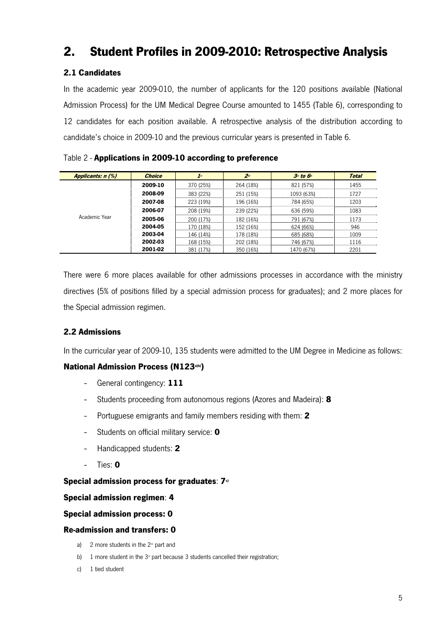### 2. Student Profiles in 2009-2010: Retrospective Analysis

#### 2.1 Candidates

In the academic year 2009-010, the number of applicants for the 120 positions available (National Admission Process) for the UM Medical Degree Course amounted to 1455 (Table 6), corresponding to 12 candidates for each position available. A retrospective analysis of the distribution according to candidate's choice in 2009-10 and the previous curricular years is presented in Table 6.

Table 2 - Applications in 2009-10 according to preference

| Applicants: n (%) | <b>Choice</b> | I <sup>st</sup> | 2 <sub>nd</sub> | $3d$ to $6d$ | <b>Total</b> |
|-------------------|---------------|-----------------|-----------------|--------------|--------------|
|                   | 2009-10       | 370 (25%)       | 264 (18%)       | 821 (57%)    | 1455         |
|                   | 2008-09       | 383 (22%)       | 251 (15%)       | 1093 (63%)   | 1727         |
|                   | 2007-08       | 223 (19%)       | 196 (16%)       | 784 (65%)    | 1203         |
|                   | 2006-07       | 208 (19%)       | 239 (22%)       | 636 (59%)    | 1083         |
| Academic Year     | 2005-06       | 200 (17%)       | 182 (16%)       | 791 (67%)    | 1173         |
|                   | 2004-05       | 170 (18%)       | 152 (16%)       | 624 (66%)    | 946          |
|                   | 2003-04       | 146 (14%)       | 178 (18%)       | 685 (68%)    | 1009         |
|                   | 2002-03       | 168 (15%)       | 202 (18%)       | 746 (67%)    | 1116         |
|                   | 2001-02       | 381 (17%)       | 350 (16%)       | 1470 (67%)   | 2201         |

There were 6 more places available for other admissions processes in accordance with the ministry directives (5% of positions filled by a special admission process for graduates); and 2 more places for the Special admission regimen.

#### 2.2 Admissions

In the curricular year of 2009-10, 135 students were admitted to the UM Degree in Medicine as follows:

#### National Admission Process (N123a)b))

- General contingency: 111
- Students proceeding from autonomous regions (Azores and Madeira): 8
- Portuguese emigrants and family members residing with them: 2
- Students on official military service: 0
- Handicapped students: 2
- Ties:  $\mathbf 0$

Special admission process for graduates:  $7°$ 

#### Special admission regimen: 4

#### Special admission process: 0

#### Re-admission and transfers: 0

- a) 2 more students in the  $2<sup>nd</sup>$  part and
- b) 1 more student in the  $3<sup>d</sup>$  part because 3 students cancelled their registration;
- c) 1 tied student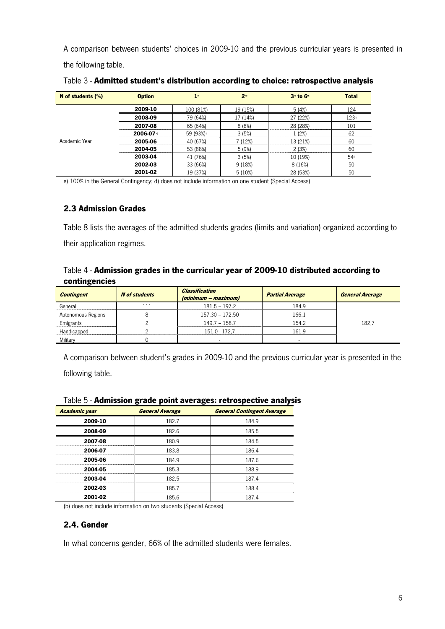A comparison between students' choices in 2009-10 and the previous curricular years is presented in the following table.

| N of students (%) | <b>Option</b>        | 1 <sup>st</sup> | 2 <sup>nd</sup> | 3 <sup>rd</sup> to 6 <sup>th</sup> | <b>Total</b>     |
|-------------------|----------------------|-----------------|-----------------|------------------------------------|------------------|
|                   | 2009-10              | 100 (81%)       | 19 (15%)        | 5(4%)                              | 124              |
|                   | 2008-09              | 79 (64%)        | 17 (14%)        | 27 (22%)                           | 123 <sup>°</sup> |
|                   | 2007-08              | 65 (64%)        | 8(8%)           | 28 (28%)                           | 101              |
|                   | 2006-07 <sup>a</sup> | 59 (93%)        | 3(5%)           | 1 (2%)                             | 62               |
| Academic Year     | 2005-06              | 40 (67%)        | 7 (12%)         | 13 (21%)                           | 60               |
|                   | 2004-05              | 53 (88%)        | 5 (9%)          | 2(3%)                              | 60               |
|                   | 2003-04              | 41 (76%)        | 3(5%)           | 10 (19%)                           | 54               |
|                   | 2002-03              | 33 (66%)        | 9 (18%)         | 8 (16%)                            | 50               |
|                   | 2001-02              | 19 (37%)        | 5(10%)          | 28 (53%)                           | 50               |

Table 3 - Admitted student's distribution according to choice: retrospective analysis

e) 100% in the General Contingency; d) does not include information on one student (Special Access)

#### 2.3 Admission Grades

Table 8 lists the averages of the admitted students grades (limits and variation) organized according to their application regimes.

#### Table 4 - Admission grades in the curricular year of 2009-10 distributed according to contingencies

| <b>Contingent</b>  | <b>N</b> of students | <b>Classification</b><br>(minimum – maximum) | <b>Partial Average</b> | <b>General Average</b> |
|--------------------|----------------------|----------------------------------------------|------------------------|------------------------|
| General            | l 11                 | $181.5 - 197.2$                              | 184.9                  |                        |
| Autonomous Regions |                      | 157.30 - 172.50                              | 166.1                  |                        |
| Emigrants          |                      | 149.7 - 158.7                                | 154.2                  | 182,7                  |
| Handicapped        |                      | 151.0 - 172.7                                | 161.9                  |                        |
| Military           |                      |                                              |                        |                        |

A comparison between student's grades in 2009-10 and the previous curricular year is presented in the

following table.

| <b>Academic year</b> | <b>General Average</b> | <b>General Contingent Average</b> |
|----------------------|------------------------|-----------------------------------|
| 2009-10              | 182.7                  | 184.9                             |
| 2008-09              | 182.6                  | 185.5                             |
| 2007-08              | 180.9                  | 184.5                             |
| 2006-07              | 1838                   | 186.4                             |
| 2005-06              | 184.9                  | 187.6                             |
| 2004-05              | 185.3                  | 1889                              |
| 2003-04              | 182.5                  | 187.4                             |
| 2002-03              | 185.7                  | 188.4                             |
| 2001-02              | 185 6                  | 187 4                             |

#### Table 5 - Admission grade point averages: retrospective analysis

(b) does not include information on two students (Special Access)

#### 2.4. Gender

In what concerns gender, 66% of the admitted students were females.